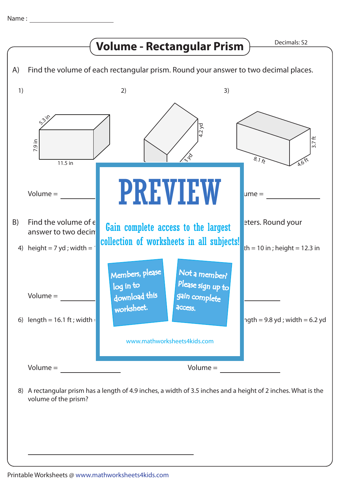

A rectangular prism has a length of 4.9 inches, a width of 3.5 inches and a height of 2 inches. What is the 8) volume of the prism?